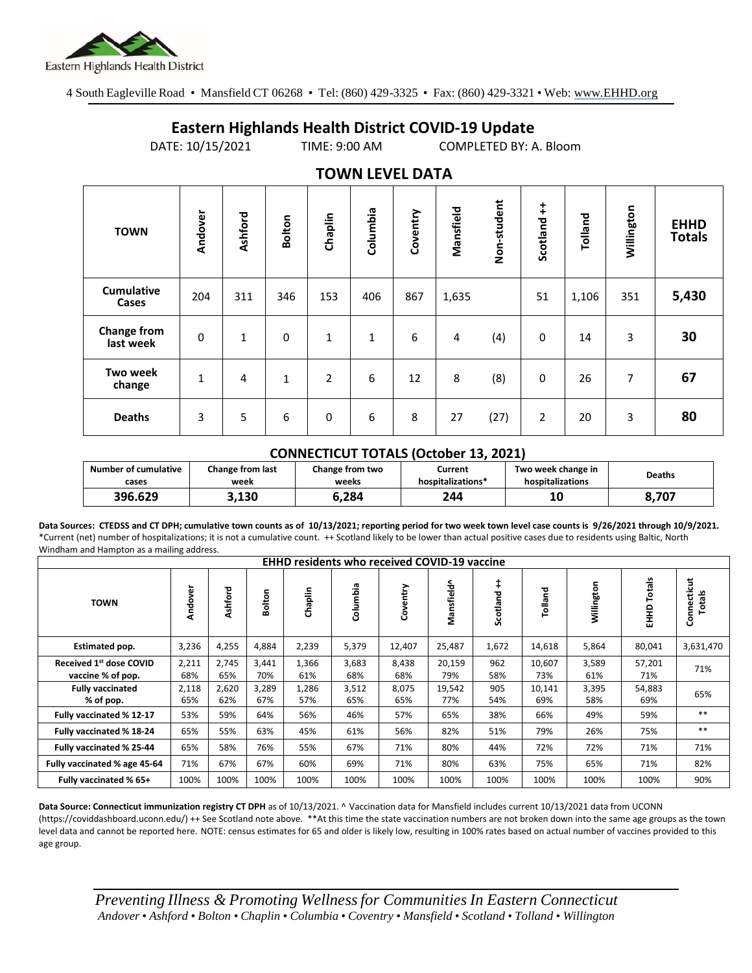

4 South Eagleville Road • Mansfield CT 06268 • Tel: (860) 429-3325 • Fax: (860) 429-3321 • Web: www.EHHD.org

## **Eastern Highlands Health District COVID-19 Update**

DATE: 10/15/2021 TIME: 9:00 AM COMPLETED BY: A. Bloom

| . <del>.</del>                  |              |         |        |                |              |          |           |             |                        |         |            |                              |
|---------------------------------|--------------|---------|--------|----------------|--------------|----------|-----------|-------------|------------------------|---------|------------|------------------------------|
| <b>TOWN</b>                     | Andover      | Ashford | Bolton | Chaplin        | Columbia     | Coventry | Mansfield | Non-student | $\ddagger$<br>Scotland | Tolland | Willington | <b>EHHD</b><br><b>Totals</b> |
| <b>Cumulative</b><br>Cases      | 204          | 311     | 346    | 153            | 406          | 867      | 1,635     |             | 51                     | 1,106   | 351        | 5,430                        |
| <b>Change from</b><br>last week | $\pmb{0}$    | 1       | 0      | 1              | $\mathbf{1}$ | 6        | 4         | (4)         | 0                      | 14      | 3          | 30                           |
| <b>Two week</b><br>change       | $\mathbf{1}$ | 4       | 1      | $\overline{2}$ | 6            | 12       | 8         | (8)         | 0                      | 26      | 7          | 67                           |
| <b>Deaths</b>                   | 3            | 5       | 6      | 0              | 6            | 8        | 27        | (27)        | $\overline{2}$         | 20      | 3          | 80                           |

## **TOWN LEVEL DATA**

## **CONNECTICUT TOTALS (October 13, 2021)**

| <b>Number of cumulative</b> | <b>Change from last</b> | Change from two | Current           | Two week change in | Deaths |  |
|-----------------------------|-------------------------|-----------------|-------------------|--------------------|--------|--|
| cases                       | week                    | weeks           | hospitalizations* | hospitalizations   |        |  |
| 396.629                     | 3,130                   | 3,284           | 244               | 10                 | 8,707  |  |

**Data Sources: CTEDSS and CT DPH; cumulative town counts as of 10/13/2021; reporting period for two week town level case counts is 9/26/2021 through 10/9/2021.** \*Current (net) number of hospitalizations; it is not a cumulative count. ++ Scotland likely to be lower than actual positive cases due to residents using Baltic, North Windham and Hampton as a mailing address.

| <b>EHHD residents who received COVID-19 vaccine</b> |              |              |              |              |              |              |               |                        |               |              |                  |                              |
|-----------------------------------------------------|--------------|--------------|--------------|--------------|--------------|--------------|---------------|------------------------|---------------|--------------|------------------|------------------------------|
| <b>TOWN</b>                                         | Andover      | Ashford      | Bolton       | Chaplin      | Columbia     | Coventry     | Mansfield^    | $\ddagger$<br>Scotland | Tolland       | Willington   | Totals<br>요<br>도 | Connecticut<br><b>Totals</b> |
| Estimated pop.                                      | 3,236        | 4,255        | 4,884        | 2,239        | 5,379        | 12,407       | 25,487        | 1,672                  | 14,618        | 5,864        | 80,041           | 3,631,470                    |
| Received 1st dose COVID<br>vaccine % of pop.        | 2,211<br>68% | 2,745<br>65% | 3,441<br>70% | 1,366<br>61% | 3,683<br>68% | 8,438<br>68% | 20,159<br>79% | 962<br>58%             | 10,607<br>73% | 3,589<br>61% | 57,201<br>71%    | 71%                          |
| <b>Fully vaccinated</b><br>% of pop.                | 2,118<br>65% | 2,620<br>62% | 3,289<br>67% | 1,286<br>57% | 3,512<br>65% | 8,075<br>65% | 19,542<br>77% | 905<br>54%             | 10,141<br>69% | 3,395<br>58% | 54,883<br>69%    | 65%                          |
| Fully vaccinated % 12-17                            | 53%          | 59%          | 64%          | 56%          | 46%          | 57%          | 65%           | 38%                    | 66%           | 49%          | 59%              | $**$                         |
| Fully vaccinated % 18-24                            | 65%          | 55%          | 63%          | 45%          | 61%          | 56%          | 82%           | 51%                    | 79%           | 26%          | 75%              | $***$                        |
| Fully vaccinated % 25-44                            | 65%          | 58%          | 76%          | 55%          | 67%          | 71%          | 80%           | 44%                    | 72%           | 72%          | 71%              | 71%                          |
| Fully vaccinated % age 45-64                        | 71%          | 67%          | 67%          | 60%          | 69%          | 71%          | 80%           | 63%                    | 75%           | 65%          | 71%              | 82%                          |
| Fully vaccinated % 65+                              | 100%         | 100%         | 100%         | 100%         | 100%         | 100%         | 100%          | 100%                   | 100%          | 100%         | 100%             | 90%                          |

**Data Source: Connecticut immunization registry CT DPH** as of 10/13/2021. ^ Vaccination data for Mansfield includes current 10/13/2021 data from UCONN (https://coviddashboard.uconn.edu/) ++ See Scotland note above. \*\*At this time the state vaccination numbers are not broken down into the same age groups as the town level data and cannot be reported here. NOTE: census estimates for 65 and older is likely low, resulting in 100% rates based on actual number of vaccines provided to this age group.

*Preventing Illness & Promoting Wellnessfor Communities In Eastern Connecticut* Andover . Ashford . Bolton . Chaplin . Columbia . Coventry . Mansfield . Scotland . Tolland . Willington